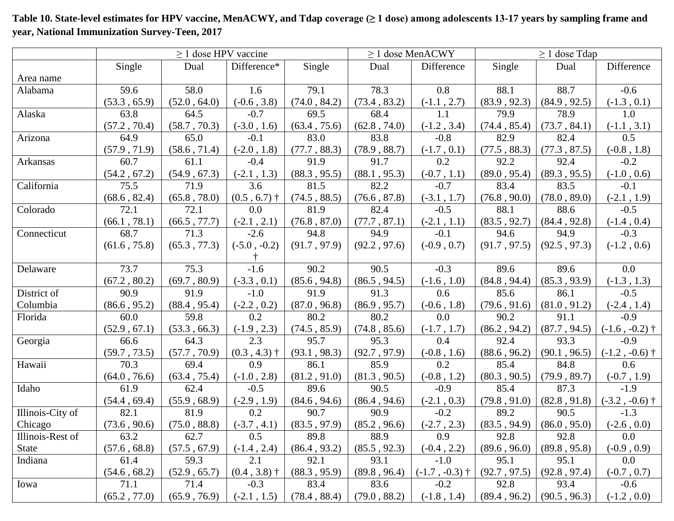|                  | $\geq$ 1 dose HPV vaccine |              |                |              |              | $\geq$ 1 dose MenACWY | $\geq 1$ dose Tdap |                               |                  |
|------------------|---------------------------|--------------|----------------|--------------|--------------|-----------------------|--------------------|-------------------------------|------------------|
|                  | Single                    | Dual         | Difference*    | Single       | Dual         | Difference            | Single             | Dual                          | Difference       |
| Area name        |                           |              |                |              |              |                       |                    |                               |                  |
| Alabama          | 59.6                      | 58.0         | 1.6            | 79.1         | 78.3         | 0.8                   | 88.1               | 88.7                          | $-0.6$           |
|                  | (53.3, 65.9)              | (52.0, 64.0) | $(-0.6, 3.8)$  | (74.0, 84.2) | (73.4, 83.2) | $(-1.1, 2.7)$         | (83.9, 92.3)       | (84.9, 92.5)                  | $(-1.3, 0.1)$    |
| Alaska           | 63.8                      | 64.5         | $-0.7$         | 69.5         | 68.4         | 1.1                   | 79.9               | 78.9                          | 1.0              |
|                  | (57.2, 70.4)              | (58.7, 70.3) | $(-3.0, 1.6)$  | (63.4, 75.6) | (62.8, 74.0) | $(-1.2, 3.4)$         | (74.4, 85.4)       | (73.7, 84.1)                  | $(-1.1, 3.1)$    |
| Arizona          | 64.9                      | 65.0         | $-0.1$         | 83.0         | 83.8         | $-0.8$                | 82.9               | 82.4                          | 0.5              |
|                  | (57.9, 71.9)              | (58.6, 71.4) | $(-2.0, 1.8)$  | (77.7, 88.3) | (78.9, 88.7) | $(-1.7, 0.1)$         | (77.5, 88.3)       | (77.3, 87.5)                  | $(-0.8, 1.8)$    |
| Arkansas         | 60.7                      | 61.1         | $-0.4$         | 91.9         | 91.7         | 0.2                   | 92.2               | 92.4                          | $-0.2$           |
|                  | (54.2, 67.2)              | (54.9, 67.3) | $(-2.1, 1.3)$  | (88.3, 95.5) | (88.1, 95.3) | $(-0.7, 1.1)$         | (89.0, 95.4)       | (89.3, 95.5)                  | $(-1.0, 0.6)$    |
| California       | 75.5                      | 71.9         | 3.6            | 81.5         | 82.2         | $-0.7$                | 83.4               | 83.5                          | $-0.1$           |
|                  | (68.6, 82.4)              | (65.8, 78.0) | $(0.5, 6.7)$ † | (74.5, 88.5) | (76.6, 87.8) | $(-3.1, 1.7)$         | (76.8, 90.0)       | (78.0, 89.0)                  | $(-2.1, 1.9)$    |
| Colorado         | 72.1                      | 72.1         | 0.0            | 81.9         | 82.4         | $-0.5$                | 88.1               | 88.6                          | $-0.5$           |
|                  | (66.1, 78.1)              | (66.5, 77.7) | $(-2.1, 2.1)$  | (76.8, 87.0) | (77.7, 87.1) | $(-2.1, 1.1)$         | (83.5, 92.7)       | (84.4, 92.8)                  | $(-1.4, 0.4)$    |
| Connecticut      | 68.7                      | 71.3         | $-2.6$         | 94.8         | 94.9         | $-0.1$                | 94.6               | 94.9                          | $-0.3$           |
|                  | (61.6, 75.8)              | (65.3, 77.3) | $(-5.0, -0.2)$ | (91.7, 97.9) | (92.2, 97.6) | $(-0.9, 0.7)$         | (91.7, 97.5)       | (92.5, 97.3)                  | $(-1.2, 0.6)$    |
|                  |                           |              |                |              |              |                       |                    |                               |                  |
| Delaware         | 73.7                      | 75.3         | $-1.6$         | 90.2         | 90.5         | $-0.3$                | 89.6               | 89.6                          | 0.0              |
|                  | (67.2, 80.2)              | (69.7, 80.9) | $(-3.3, 0.1)$  | (85.6, 94.8) | (86.5, 94.5) | $(-1.6, 1.0)$         | (84.8, 94.4)       | (85.3, 93.9)                  | $(-1.3, 1.3)$    |
| District of      | 90.9                      | 91.9         | $-1.0$         | 91.9         | 91.3         | 0.6                   | 85.6               | 86.1                          | $-0.5$           |
| Columbia         | (86.6, 95.2)              | (88.4, 95.4) | $(-2.2, 0.2)$  | (87.0, 96.8) | (86.9, 95.7) | $(-0.6, 1.8)$         | (79.6, 91.6)       | (81.0, 91.2)                  | $(-2.4, 1.4)$    |
| Florida          | 60.0                      | 59.8         | 0.2            | 80.2         | 80.2         | 0.0                   | 90.2               | 91.1                          | $-0.9$           |
|                  | (52.9, 67.1)              | (53.3, 66.3) | $(-1.9, 2.3)$  | (74.5, 85.9) | (74.8, 85.6) | $(-1.7, 1.7)$         | (86.2, 94.2)       | (87.7, 94.5)                  | $(-1.6, -0.2)$ † |
| Georgia          | 66.6                      | 64.3         | 2.3            | 95.7         | 95.3         | 0.4                   | 92.4               | 93.3                          | $-0.9$           |
|                  | (59.7, 73.5)              | (57.7, 70.9) | $(0.3, 4.3)$ † | (93.1, 98.3) | (92.7, 97.9) | $(-0.8, 1.6)$         | (88.6, 96.2)       | (90.1, 96.5)                  | $(-1.2, -0.6)$ † |
| Hawaii           | 70.3                      | 69.4         | 0.9            | 86.1         | 85.9         | 0.2                   | 85.4               | 84.8                          | 0.6              |
|                  | (64.0, 76.6)              | (63.4, 75.4) | $(-1.0, 2.8)$  | (81.2, 91.0) | (81.3, 90.5) | $(-0.8, 1.2)$         | (80.3, 90.5)       | (79.9, 89.7)                  | $(-0.7, 1.9)$    |
| Idaho            | 61.9                      | 62.4         | $-0.5$         | 89.6         | 90.5         | $-0.9$                | 85.4               | 87.3                          | $-1.9$           |
|                  | (54.4, 69.4)              | (55.9, 68.9) | $(-2.9, 1.9)$  | (84.6, 94.6) | (86.4, 94.6) | $(-2.1, 0.3)$         | (79.8, 91.0)       | (82.8, 91.8)                  | $(-3.2, -0.6)$ † |
| Illinois-City of | 82.1                      | 81.9         | 0.2            | 90.7         | 90.9         | $-0.2$                | 89.2               | 90.5                          | $-1.3$           |
| Chicago          | (73.6, 90.6)              | (75.0, 88.8) | $(-3.7, 4.1)$  | (83.5, 97.9) | (85.2, 96.6) | $(-2.7, 2.3)$         |                    | $(83.5, 94.9)$ $(86.0, 95.0)$ | $(-2.6, 0.0)$    |
| Illinois-Rest of | 63.2                      | 62.7         | 0.5            | 89.8         | 88.9         | 0.9                   | 92.8               | 92.8                          | 0.0              |
| <b>State</b>     | (57.6, 68.8)              | (57.5, 67.9) | $(-1.4, 2.4)$  | (86.4, 93.2) | (85.5, 92.3) | $(-0.4, 2.2)$         | (89.6, 96.0)       | (89.8, 95.8)                  | $(-0.9, 0.9)$    |
| Indiana          | 61.4                      | 59.3         | 2.1            | 92.1         | 93.1         | $-1.0$                | 95.1               | 95.1                          | 0.0              |
|                  | (54.6, 68.2)              | (52.9, 65.7) | $(0.4, 3.8)$ † | (88.3, 95.9) | (89.8, 96.4) | $(-1.7, -0.3)$ †      | (92.7, 97.5)       | (92.8, 97.4)                  | $(-0.7, 0.7)$    |
| Iowa             | 71.1                      | 71.4         | $-0.3$         | 83.4         | 83.6         | $-0.2$                | 92.8               | 93.4                          | $-0.6$           |
|                  | (65.2, 77.0)              | (65.9, 76.9) | $(-2.1, 1.5)$  | (78.4, 88.4) | (79.0, 88.2) | $(-1.8, 1.4)$         | (89.4, 96.2)       | (90.5, 96.3)                  | $(-1.2, 0.0)$    |

**Table 10. State-level estimates for HPV vaccine, MenACWY, and Tdap coverage (≥ 1 dose) among adolescents 13-17 years by sampling frame and year, National Immunization Survey-Teen, 2017**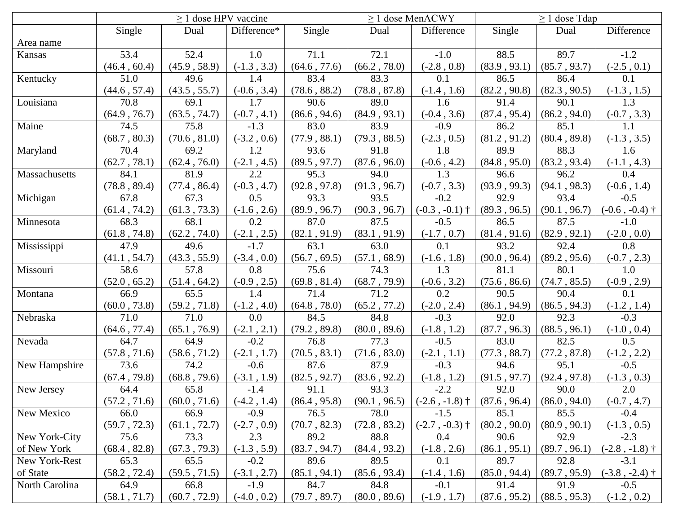|                | $\geq$ 1 dose HPV vaccine |              |               |              | $\geq$ 1 dose MenACWY |                  | $\geq 1$ dose Tdap |              |                  |
|----------------|---------------------------|--------------|---------------|--------------|-----------------------|------------------|--------------------|--------------|------------------|
|                | Single                    | Dual         | Difference*   | Single       | Dual                  | Difference       | Single             | Dual         | Difference       |
| Area name      |                           |              |               |              |                       |                  |                    |              |                  |
| Kansas         | 53.4                      | 52.4         | 1.0           | 71.1         | 72.1                  | $-1.0$           | 88.5               | 89.7         | $-1.2$           |
|                | (46.4, 60.4)              | (45.9, 58.9) | $(-1.3, 3.3)$ | (64.6, 77.6) | (66.2, 78.0)          | $(-2.8, 0.8)$    | (83.9, 93.1)       | (85.7, 93.7) | $(-2.5, 0.1)$    |
| Kentucky       | 51.0                      | 49.6         | 1.4           | 83.4         | 83.3                  | 0.1              | 86.5               | 86.4         | 0.1              |
|                | (44.6, 57.4)              | (43.5, 55.7) | $(-0.6, 3.4)$ | (78.6, 88.2) | (78.8, 87.8)          | $(-1.4, 1.6)$    | (82.2, 90.8)       | (82.3, 90.5) | $(-1.3, 1.5)$    |
| Louisiana      | 70.8                      | 69.1         | 1.7           | 90.6         | 89.0                  | 1.6              | 91.4               | 90.1         | 1.3              |
|                | (64.9, 76.7)              | (63.5, 74.7) | $(-0.7, 4.1)$ | (86.6, 94.6) | (84.9, 93.1)          | $(-0.4, 3.6)$    | (87.4, 95.4)       | (86.2, 94.0) | $(-0.7, 3.3)$    |
| Maine          | 74.5                      | 75.8         | $-1.3$        | 83.0         | 83.9                  | $-0.9$           | 86.2               | 85.1         | 1.1              |
|                | (68.7, 80.3)              | (70.6, 81.0) | $(-3.2, 0.6)$ | (77.9, 88.1) | (79.3, 88.5)          | $(-2.3, 0.5)$    | (81.2, 91.2)       | (80.4, 89.8) | $(-1.3, 3.5)$    |
| Maryland       | 70.4                      | 69.2         | 1.2           | 93.6         | 91.8                  | 1.8              | 89.9               | 88.3         | 1.6              |
|                | (62.7, 78.1)              | (62.4, 76.0) | $(-2.1, 4.5)$ | (89.5, 97.7) | (87.6, 96.0)          | $(-0.6, 4.2)$    | (84.8, 95.0)       | (83.2, 93.4) | $(-1.1, 4.3)$    |
| Massachusetts  | 84.1                      | 81.9         | 2.2           | 95.3         | 94.0                  | 1.3              | 96.6               | 96.2         | 0.4              |
|                | (78.8, 89.4)              | (77.4, 86.4) | $(-0.3, 4.7)$ | (92.8, 97.8) | (91.3, 96.7)          | $(-0.7, 3.3)$    | (93.9, 99.3)       | (94.1, 98.3) | $(-0.6, 1.4)$    |
| Michigan       | 67.8                      | 67.3         | 0.5           | 93.3         | 93.5                  | $-0.2$           | 92.9               | 93.4         | $-0.5$           |
|                | (61.4, 74.2)              | (61.3, 73.3) | $(-1.6, 2.6)$ | (89.9, 96.7) | (90.3, 96.7)          | $(-0.3, -0.1)$ † | (89.3, 96.5)       | (90.1, 96.7) | $(-0.6, -0.4)$ † |
| Minnesota      | 68.3                      | 68.1         | 0.2           | 87.0         | 87.5                  | $-0.5$           | 86.5               | 87.5         | $-1.0$           |
|                | (61.8, 74.8)              | (62.2, 74.0) | $(-2.1, 2.5)$ | (82.1, 91.9) | (83.1, 91.9)          | $(-1.7, 0.7)$    | (81.4, 91.6)       | (82.9, 92.1) | $(-2.0, 0.0)$    |
| Mississippi    | 47.9                      | 49.6         | $-1.7$        | 63.1         | 63.0                  | 0.1              | 93.2               | 92.4         | 0.8              |
|                | (41.1, 54.7)              | (43.3, 55.9) | $(-3.4, 0.0)$ | (56.7, 69.5) | (57.1, 68.9)          | $(-1.6, 1.8)$    | (90.0, 96.4)       | (89.2, 95.6) | $(-0.7, 2.3)$    |
| Missouri       | 58.6                      | 57.8         | 0.8           | 75.6         | 74.3                  | $\overline{1.3}$ | 81.1               | 80.1         | $\overline{1.0}$ |
|                | (52.0, 65.2)              | (51.4, 64.2) | $(-0.9, 2.5)$ | (69.8, 81.4) | (68.7, 79.9)          | $(-0.6, 3.2)$    | (75.6, 86.6)       | (74.7, 85.5) | $(-0.9, 2.9)$    |
| Montana        | 66.9                      | 65.5         | 1.4           | 71.4         | 71.2                  | 0.2              | 90.5               | 90.4         | 0.1              |
|                | (60.0, 73.8)              | (59.2, 71.8) | $(-1.2, 4.0)$ | (64.8, 78.0) | (65.2, 77.2)          | $(-2.0, 2.4)$    | (86.1, 94.9)       | (86.5, 94.3) | $(-1.2, 1.4)$    |
| Nebraska       | 71.0                      | 71.0         | 0.0           | 84.5         | 84.8                  | $-0.3$           | 92.0               | 92.3         | $-0.3$           |
|                | (64.6, 77.4)              | (65.1, 76.9) | $(-2.1, 2.1)$ | (79.2, 89.8) | (80.0, 89.6)          | $(-1.8, 1.2)$    | (87.7, 96.3)       | (88.5, 96.1) | $(-1.0, 0.4)$    |
| Nevada         | 64.7                      | 64.9         | $-0.2$        | 76.8         | 77.3                  | $-0.5$           | 83.0               | 82.5         | 0.5              |
|                | (57.8, 71.6)              | (58.6, 71.2) | $(-2.1, 1.7)$ | (70.5, 83.1) | (71.6, 83.0)          | $(-2.1, 1.1)$    | (77.3, 88.7)       | (77.2, 87.8) | $(-1.2, 2.2)$    |
| New Hampshire  | 73.6                      | 74.2         | $-0.6$        | 87.6         | 87.9                  | $-0.3$           | 94.6               | 95.1         | $-0.5$           |
|                | (67.4, 79.8)              | (68.8, 79.6) | $(-3.1, 1.9)$ | (82.5, 92.7) | (83.6, 92.2)          | $(-1.8, 1.2)$    | (91.5, 97.7)       | (92.4, 97.8) | $(-1.3, 0.3)$    |
| New Jersey     | 64.4                      | 65.8         | $-1.4$        | 91.1         | 93.3                  | $-2.2$           | 92.0               | 90.0         | 2.0              |
|                | (57.2, 71.6)              | (60.0, 71.6) | $(-4.2, 1.4)$ | (86.4, 95.8) | (90.1, 96.5)          | $(-2.6, -1.8)$ † | (87.6, 96.4)       | (86.0, 94.0) | $(-0.7, 4.7)$    |
| New Mexico     | 66.0                      | 66.9         | $-0.9$        | 76.5         | 78.0                  | $-1.5$           | 85.1               | 85.5         | $-0.4$           |
|                | (59.7, 72.3)              | (61.1, 72.7) | $(-2.7, 0.9)$ | (70.7, 82.3) | (72.8, 83.2)          | $(-2.7, -0.3)$ † | (80.2, 90.0)       | (80.9, 90.1) | $(-1.3, 0.5)$    |
| New York-City  | 75.6                      | 73.3         | 2.3           | 89.2         | 88.8                  | $0.4\,$          | 90.6               | 92.9         | $-2.3$           |
| of New York    | (68.4, 82.8)              | (67.3, 79.3) | $(-1.3, 5.9)$ | (83.7, 94.7) | (84.4, 93.2)          | $(-1.8, 2.6)$    | (86.1, 95.1)       | (89.7, 96.1) | $(-2.8, -1.8)$ † |
| New York-Rest  | 65.3                      | 65.5         | $-0.2$        | 89.6         | 89.5                  | 0.1              | 89.7               | 92.8         | $-3.1$           |
| of State       | (58.2, 72.4)              | (59.5, 71.5) | $(-3.1, 2.7)$ | (85.1, 94.1) | (85.6, 93.4)          | $(-1.4, 1.6)$    | (85.0, 94.4)       | (89.7, 95.9) | $(-3.8, -2.4)$ † |
| North Carolina | 64.9                      | 66.8         | $-1.9$        | 84.7         | 84.8                  | $-0.1$           | 91.4               | 91.9         | $-0.5$           |
|                | (58.1, 71.7)              | (60.7, 72.9) | $(-4.0, 0.2)$ | (79.7, 89.7) | (80.0, 89.6)          | $(-1.9, 1.7)$    | (87.6, 95.2)       | (88.5, 95.3) | $(-1.2, 0.2)$    |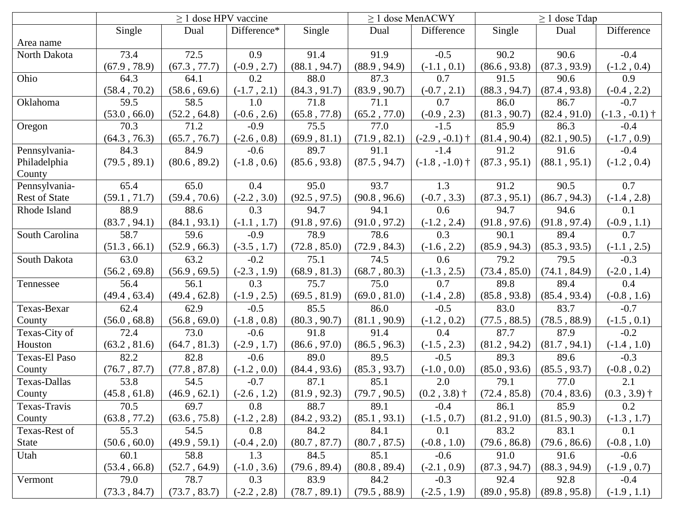|                      | $> 1$ dose HPV vaccine |              |               |              | $\geq$ 1 dose MenACWY |                  | $\geq 1$ dose Tdap |                             |                  |
|----------------------|------------------------|--------------|---------------|--------------|-----------------------|------------------|--------------------|-----------------------------|------------------|
|                      | Single                 | Dual         | Difference*   | Single       | Dual                  | Difference       | Single             | Dual                        | Difference       |
| Area name            |                        |              |               |              |                       |                  |                    |                             |                  |
| North Dakota         | 73.4                   | 72.5         | 0.9           | 91.4         | 91.9                  | $-0.5$           | 90.2               | 90.6                        | $-0.4$           |
|                      | (67.9, 78.9)           | (67.3, 77.7) | $(-0.9, 2.7)$ | (88.1, 94.7) | (88.9, 94.9)          | $(-1.1, 0.1)$    | (86.6, 93.8)       | (87.3, 93.9)                | $(-1.2, 0.4)$    |
| Ohio                 | 64.3                   | 64.1         | 0.2           | 88.0         | 87.3                  | 0.7              | 91.5               | 90.6                        | 0.9              |
|                      | (58.4, 70.2)           | (58.6, 69.6) | $(-1.7, 2.1)$ | (84.3, 91.7) | (83.9, 90.7)          | $(-0.7, 2.1)$    | (88.3, 94.7)       | (87.4, 93.8)                | $(-0.4, 2.2)$    |
| Oklahoma             | 59.5                   | 58.5         | 1.0           | 71.8         | 71.1                  | 0.7              | 86.0               | 86.7                        | $-0.7$           |
|                      | (53.0, 66.0)           | (52.2, 64.8) | $(-0.6, 2.6)$ | (65.8, 77.8) | (65.2, 77.0)          | $(-0.9, 2.3)$    | (81.3, 90.7)       | (82.4, 91.0)                | $(-1.3, -0.1)$ † |
| Oregon               | 70.3                   | 71.2         | $-0.9$        | 75.5         | 77.0                  | $-1.5$           | 85.9               | 86.3                        | $-0.4$           |
|                      | (64.3, 76.3)           | (65.7, 76.7) | $(-2.6, 0.8)$ | (69.9, 81.1) | (71.9, 82.1)          | $(-2.9, -0.1)$ † | (81.4, 90.4)       | (82.1, 90.5)                | $(-1.7, 0.9)$    |
| Pennsylvania-        | 84.3                   | 84.9         | $-0.6$        | 89.7         | 91.1                  | $-1.4$           | 91.2               | 91.6                        | $-0.4$           |
| Philadelphia         | (79.5, 89.1)           | (80.6, 89.2) | $(-1.8, 0.6)$ | (85.6, 93.8) | (87.5, 94.7)          | $(-1.8, -1.0)$ † | (87.3, 95.1)       | (88.1, 95.1)                | $(-1.2, 0.4)$    |
| County               |                        |              |               |              |                       |                  |                    |                             |                  |
| Pennsylvania-        | 65.4                   | 65.0         | 0.4           | 95.0         | 93.7                  | 1.3              | 91.2               | 90.5                        | 0.7              |
| <b>Rest of State</b> | (59.1, 71.7)           | (59.4, 70.6) | $(-2.2, 3.0)$ | (92.5, 97.5) | (90.8, 96.6)          | $(-0.7, 3.3)$    | (87.3, 95.1)       | (86.7, 94.3)                | $(-1.4, 2.8)$    |
| Rhode Island         | 88.9                   | 88.6         | 0.3           | 94.7         | 94.1                  | 0.6              | 94.7               | 94.6                        | 0.1              |
|                      | (83.7, 94.1)           | (84.1, 93.1) | $(-1.1, 1.7)$ | (91.8, 97.6) | (91.0, 97.2)          | $(-1.2, 2.4)$    | (91.8, 97.6)       | (91.8, 97.4)                | $(-0.9, 1.1)$    |
| South Carolina       | 58.7                   | 59.6         | $-0.9$        | 78.9         | 78.6                  | 0.3              | 90.1               | 89.4                        | 0.7              |
|                      | (51.3, 66.1)           | (52.9, 66.3) | $(-3.5, 1.7)$ | (72.8, 85.0) | (72.9, 84.3)          | $(-1.6, 2.2)$    | (85.9, 94.3)       | (85.3, 93.5)                | $(-1.1, 2.5)$    |
| South Dakota         | 63.0                   | 63.2         | $-0.2$        | 75.1         | 74.5                  | 0.6              | 79.2               | 79.5                        | $-0.3$           |
|                      | (56.2, 69.8)           | (56.9, 69.5) | $(-2.3, 1.9)$ | (68.9, 81.3) | (68.7, 80.3)          | $(-1.3, 2.5)$    | (73.4, 85.0)       | (74.1, 84.9)                | $(-2.0, 1.4)$    |
| Tennessee            | 56.4                   | 56.1         | 0.3           | 75.7         | 75.0                  | 0.7              | 89.8               | 89.4                        | 0.4              |
|                      | (49.4, 63.4)           | (49.4, 62.8) | $(-1.9, 2.5)$ | (69.5, 81.9) | (69.0, 81.0)          | $(-1.4, 2.8)$    | (85.8, 93.8)       | (85.4, 93.4)                | $(-0.8, 1.6)$    |
| Texas-Bexar          | 62.4                   | 62.9         | $-0.5$        | 85.5         | 86.0                  | $-0.5$           | 83.0               | 83.7                        | $-0.7$           |
| County               | (56.0, 68.8)           | (56.8, 69.0) | $(-1.8, 0.8)$ | (80.3, 90.7) | (81.1, 90.9)          | $(-1.2, 0.2)$    | (77.5, 88.5)       | (78.5, 88.9)                | $(-1.5, 0.1)$    |
| Texas-City of        | 72.4                   | 73.0         | $-0.6$        | 91.8         | 91.4                  | 0.4              | 87.7               | 87.9                        | $-0.2$           |
| Houston              | (63.2, 81.6)           | (64.7, 81.3) | $(-2.9, 1.7)$ | (86.6, 97.0) | (86.5, 96.3)          | $(-1.5, 2.3)$    | (81.2, 94.2)       | (81.7, 94.1)                | $(-1.4, 1.0)$    |
| Texas-El Paso        | 82.2                   | 82.8         | $-0.6$        | 89.0         | 89.5                  | $-0.5$           | 89.3               | 89.6                        | $-0.3$           |
| County               | (76.7, 87.7)           | (77.8, 87.8) | $(-1.2, 0.0)$ | (84.4, 93.6) | (85.3, 93.7)          | $(-1.0, 0.0)$    | (85.0, 93.6)       | (85.5, 93.7)                | $(-0.8, 0.2)$    |
| Texas-Dallas         | 53.8                   | 54.5         | $-0.7$        | 87.1         | 85.1                  | 2.0              | 79.1               | 77.0                        | 2.1              |
| County               | (45.8, 61.8)           | (46.9, 62.1) | $(-2.6, 1.2)$ | (81.9, 92.3) | (79.7, 90.5)          | $(0.2, 3.8)$ †   |                    | $(72.4, 85.8)$ (70.4, 83.6) | $(0.3, 3.9)$ †   |
| Texas-Travis         | 70.5                   | 69.7         | 0.8           | 88.7         | 89.1                  | $-0.4$           | 86.1               | 85.9                        | 0.2              |
| County               | (63.8, 77.2)           | (63.6, 75.8) | $(-1.2, 2.8)$ | (84.2, 93.2) | (85.1, 93.1)          | $(-1.5, 0.7)$    | (81.2, 91.0)       | (81.5, 90.3)                | $(-1.3, 1.7)$    |
| Texas-Rest of        | 55.3                   | 54.5         | 0.8           | 84.2         | 84.1                  | 0.1              | 83.2               | 83.1                        | 0.1              |
| <b>State</b>         | (50.6, 60.0)           | (49.9, 59.1) | $(-0.4, 2.0)$ | (80.7, 87.7) | (80.7, 87.5)          | $(-0.8, 1.0)$    | (79.6, 86.8)       | (79.6, 86.6)                | $(-0.8, 1.0)$    |
| Utah                 | 60.1                   | 58.8         | 1.3           | 84.5         | 85.1                  | $-0.6$           | 91.0               | 91.6                        | $-0.6$           |
|                      | (53.4, 66.8)           | (52.7, 64.9) | $(-1.0, 3.6)$ | (79.6, 89.4) | (80.8, 89.4)          | $(-2.1, 0.9)$    | (87.3, 94.7)       | (88.3, 94.9)                | $(-1.9, 0.7)$    |
| Vermont              | 79.0                   | 78.7         | 0.3           | 83.9         | 84.2                  | $-0.3$           | 92.4               | 92.8                        | $-0.4$           |
|                      | (73.3, 84.7)           | (73.7, 83.7) | $(-2.2, 2.8)$ | (78.7, 89.1) | (79.5, 88.9)          | $(-2.5, 1.9)$    | (89.0, 95.8)       | (89.8, 95.8)                | $(-1.9, 1.1)$    |